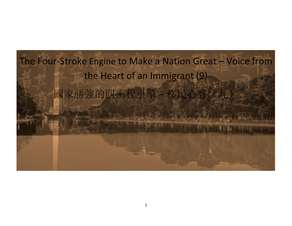## The Four-Stroke Engine to Make a Nation Great – Voice from the Heart of an Immigrant (9) 國家勝強的四衝程引擎 – 移民心聲(九)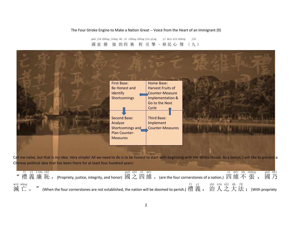## The Four-Stroke Engine to Make a Nation Great -- Voice from the Heart of an Immigrant (9)

國家 勝 強 的四 衝 程 引 擎 - 移民心 聲 (九) guó jiā shēng jiàng de sì chōng chéng yǐn qíng yí mín xīn shēng jiǔ



Call me naïve, but that is my idea. Very simple! All we need to do is to be honest to start with beginning with the White House. As a bonus, I will like to present a Chinese political idea that has been there for at least four hundred years:

| -11<br>vi       | lián chí | " 禮 義 廉 恥 , (Propriety, justice, integrity, and honor) 國 之 四 維 。 (are the four cornerstones of a nation.) 四 維 不 張 , | guó zhī sì wéi |       |                   | sì wéi bù zhāng | guó nǎi<br>國 乃 |
|-----------------|----------|---------------------------------------------------------------------------------------------------------------------|----------------|-------|-------------------|-----------------|----------------|
| miè wáng<br>滅亡。 |          | (When the four cornerstones are not established, the nation will be doomed to perish.) 禮 義, 治人之大法; (With propriety  |                | li vi | zhì rén zhī dà fǎ |                 |                |